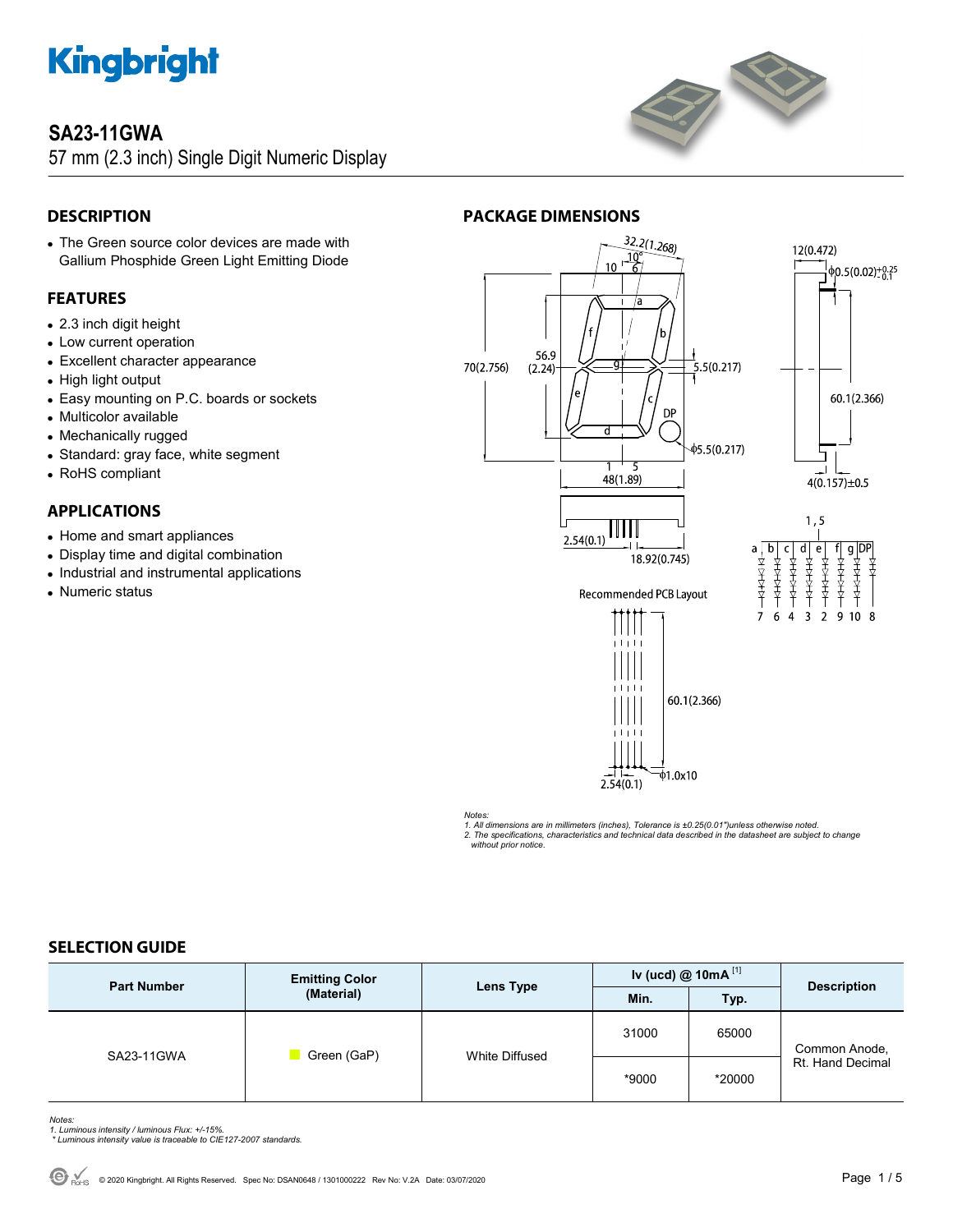

# **SA23-11GWA**

57 mm (2.3 inch) Single Digit Numeric Display



# **DESCRIPTION**

 The Green source color devices are made with Gallium Phosphide Green Light Emitting Diode

# **FEATURES**

- 2.3 inch digit height
- Low current operation
- Excellent character appearance
- High light output
- Easy mounting on P.C. boards or sockets
- Multicolor available
- Mechanically rugged
- Standard: gray face, white segment
- RoHS compliant

# **APPLICATIONS**

- Home and smart appliances
- Display time and digital combination
- Industrial and instrumental applications
- Numeric status

# **PACKAGE DIMENSIONS**



*Notes:* 

*1. All dimensions are in millimeters (inches), Tolerance is ±0.25(0.01")unless otherwise noted.* 

*2. The specifications, characteristics and technical data described in the datasheet are subject to change without prior notice.* 

# **SELECTION GUIDE**

| <b>Part Number</b> | <b>Emitting Color</b><br>(Material) | Lens Type      | Iv (ucd) $@ 10mA$ <sup>[1]</sup> |        | <b>Description</b>                |
|--------------------|-------------------------------------|----------------|----------------------------------|--------|-----------------------------------|
|                    |                                     |                | Min.                             | Typ.   |                                   |
| SA23-11GWA         | Green (GaP)                         | White Diffused | 31000                            | 65000  | Common Anode,<br>Rt. Hand Decimal |
|                    |                                     |                | *9000                            | *20000 |                                   |

*Notes: 1. Luminous intensity / luminous Flux: +/-15%.* 

 *\* Luminous intensity value is traceable to CIE127-2007 standards.*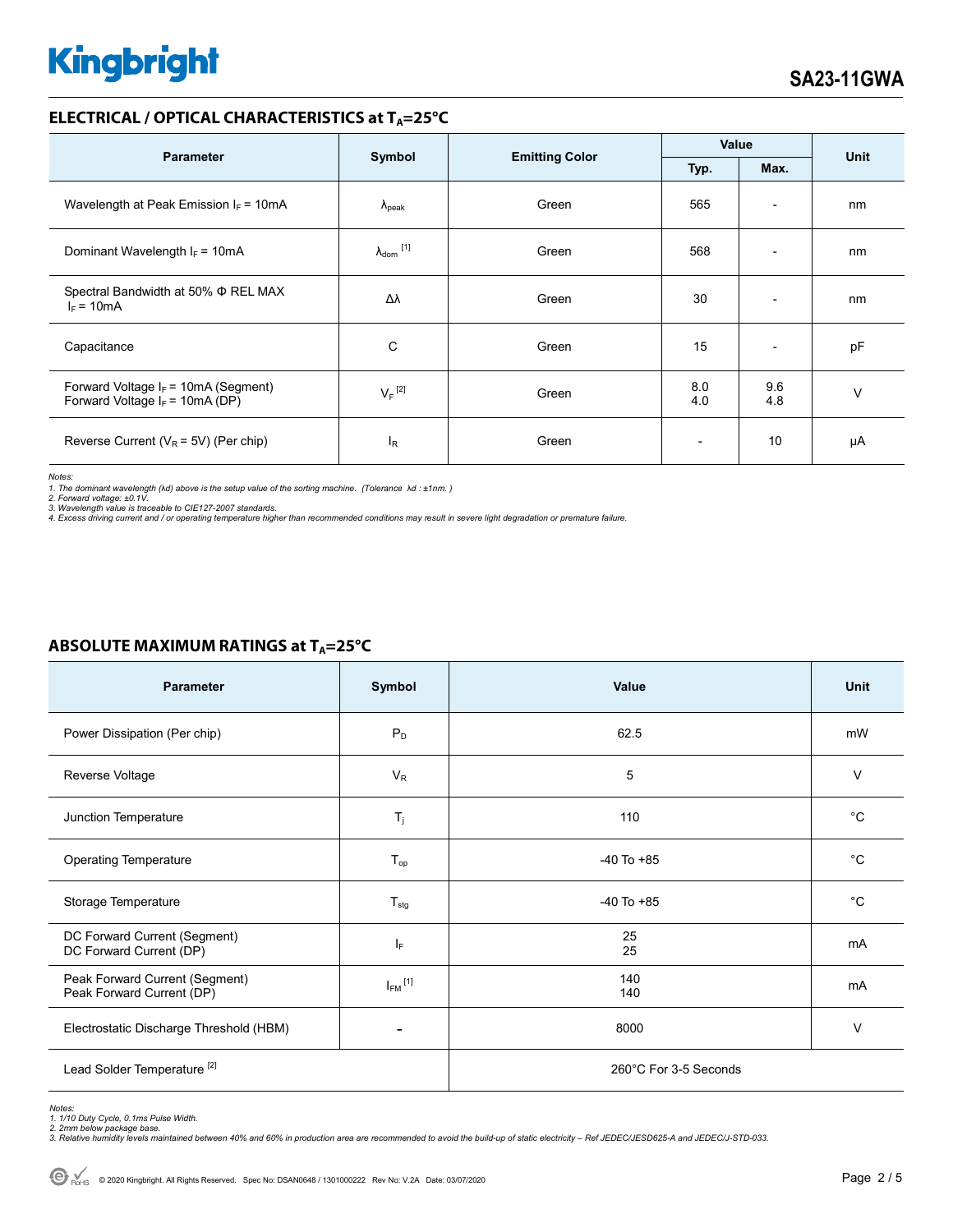### **ELECTRICAL / OPTICAL CHARACTERISTICS at T<sub>A</sub>=25°C**

| <b>Parameter</b>                                                            | Symbol                       |                       | Value                    |                          | <b>Unit</b> |
|-----------------------------------------------------------------------------|------------------------------|-----------------------|--------------------------|--------------------------|-------------|
|                                                                             |                              | <b>Emitting Color</b> | Typ.                     | Max.                     |             |
| Wavelength at Peak Emission $I_F = 10mA$                                    | $\Lambda_{\rm peak}$         | Green                 | 565                      | $\overline{\phantom{a}}$ | nm          |
| Dominant Wavelength $I_F = 10mA$                                            | $\lambda_{\mathsf{dom}}$ [1] | Green                 | 568                      | $\overline{\phantom{a}}$ | nm          |
| Spectral Bandwidth at 50% $\Phi$ REL MAX<br>$I_F = 10mA$                    | Δλ                           | Green                 | 30                       | $\overline{\phantom{0}}$ | nm          |
| Capacitance                                                                 | C                            | Green                 | 15                       | $\overline{\phantom{a}}$ | pF          |
| Forward Voltage $I_F$ = 10mA (Segment)<br>Forward Voltage $I_F$ = 10mA (DP) | $V_F$ <sup>[2]</sup>         | Green                 | 8.0<br>4.0               | 9.6<br>4.8               | $\vee$      |
| Reverse Current ( $V_R$ = 5V) (Per chip)                                    | <sup>I</sup> R               | Green                 | $\overline{\phantom{a}}$ | 10                       | μA          |

*Notes:* 

1. The dominant wavelength (λd) above is the setup value of the sorting machine. (Tolerance λd : ±1nm. )<br>2. Forward voltage: ±0.1V.<br>3. Wavelength value is traceable to CIE127-2007 standards.<br>4. Excess driving current and

# **ABSOLUTE MAXIMUM RATINGS at T<sub>A</sub>=25°C**

| <b>Parameter</b>                                            | Symbol                  | Value                 | Unit        |  |
|-------------------------------------------------------------|-------------------------|-----------------------|-------------|--|
| Power Dissipation (Per chip)                                | $P_D$                   | 62.5                  | mW          |  |
| Reverse Voltage                                             | $V_R$                   | 5                     | V           |  |
| Junction Temperature                                        | $T_{j}$                 | 110                   | $^{\circ}C$ |  |
| <b>Operating Temperature</b>                                | $T_{op}$                | $-40$ To $+85$        | $^{\circ}C$ |  |
| Storage Temperature                                         | $T_{\text{stg}}$        | $-40$ To $+85$        | $^{\circ}C$ |  |
| DC Forward Current (Segment)<br>DC Forward Current (DP)     | ΙF                      | 25<br>25              | mA          |  |
| Peak Forward Current (Segment)<br>Peak Forward Current (DP) | $I_{FM}$ <sup>[1]</sup> | 140<br>140            | mA          |  |
| Electrostatic Discharge Threshold (HBM)                     |                         | 8000                  | V           |  |
| Lead Solder Temperature <sup>[2]</sup>                      |                         | 260°C For 3-5 Seconds |             |  |

Notes:<br>1. 1/10 Duty Cycle, 0.1ms Pulse Width.<br>2. 2mm below package base.<br>3. Relative humidity levels maintained between 40% and 60% in production area are recommended to avoid the build-up of static electricity – Ref JEDEC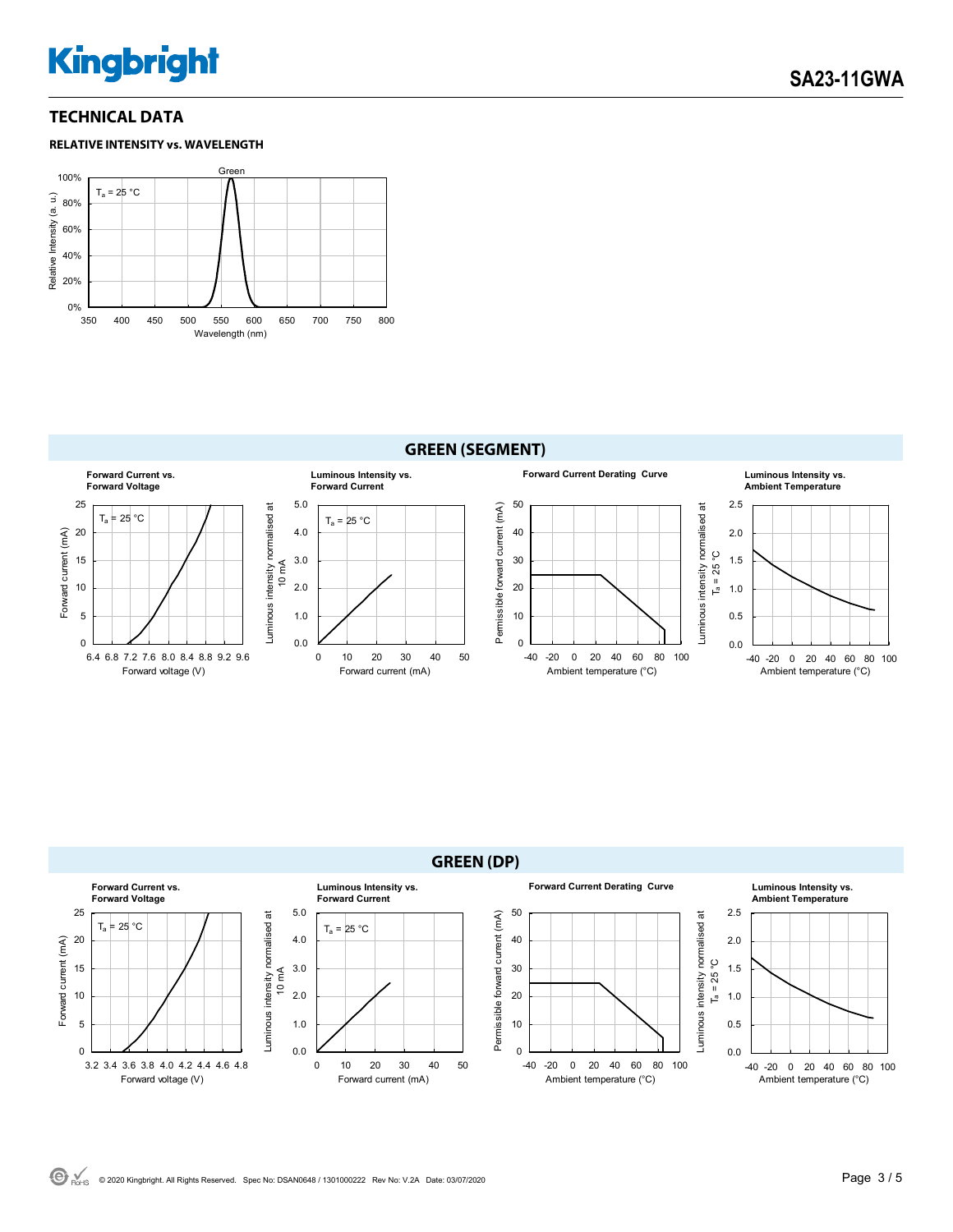# **TECHNICAL DATA**







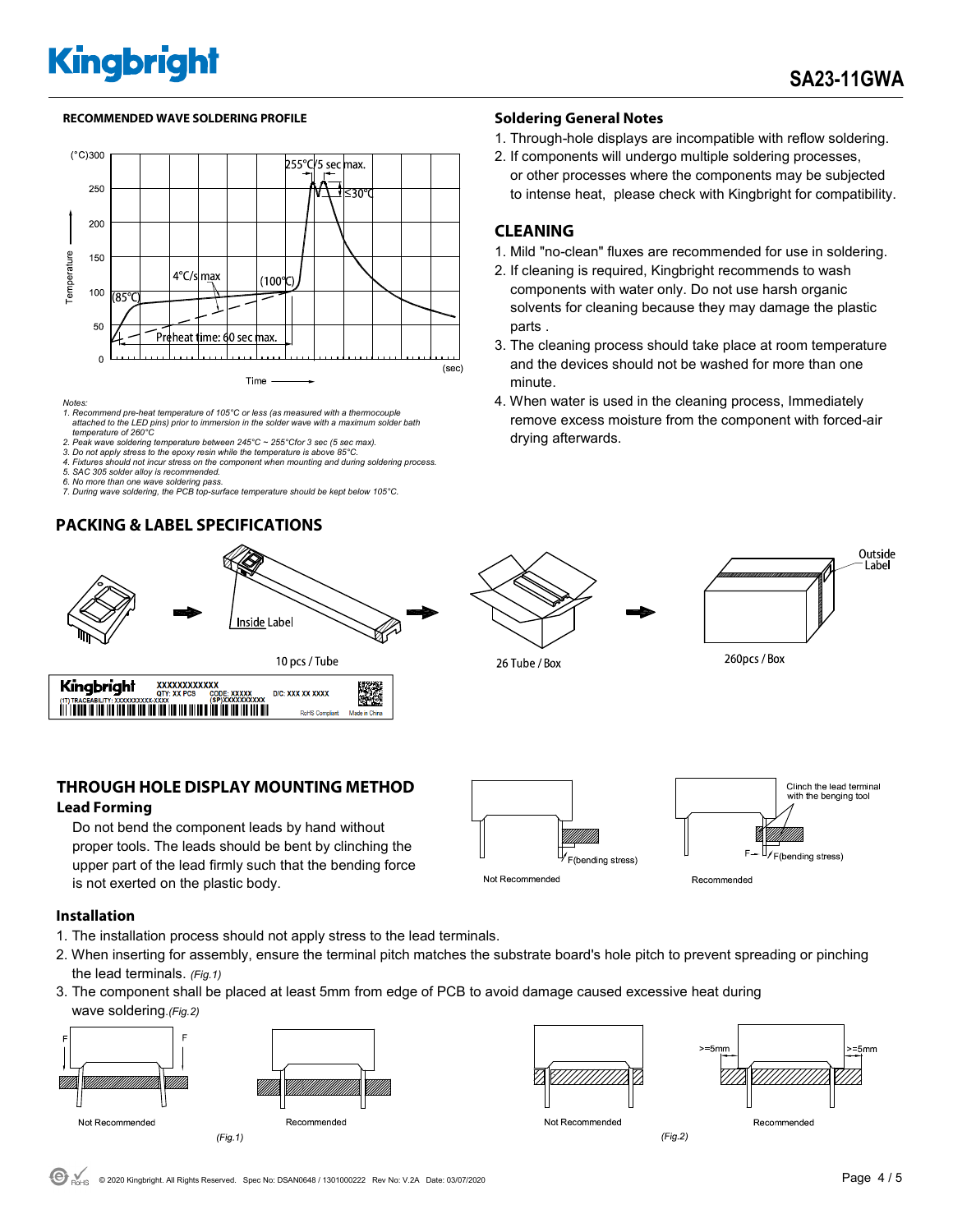### **RECOMMENDED WAVE SOLDERING PROFILE Soldering General Notes**



*Notes:* 

- *1. Recommend pre-heat temperature of 105°C or less (as measured with a thermocouple attached to the LED pins) prior to immersion in the solder wave with a maximum solder bath temperature of 260°C*
- *2. Peak wave soldering temperature between 245°C ~ 255°Cfor 3 sec (5 sec max).*
- 2. Pean wave soluting temperature settlement is to the experimental of  $25^{\circ}$ C. **3.** Do not apply stress to the epoxy resin while the temperature is above 85°C. *4. Fixtures should not incur stress on the component when mounting and during soldering process.*
- *5. SAC 305 solder alloy is recommended.*
- 
- *6. No more than one wave soldering pass. 7. During wave soldering, the PCB top-surface temperature should be kept below 105°C.*

# **PACKING & LABEL SPECIFICATIONS**



# **THROUGH HOLE DISPLAY MOUNTING METHOD**

### **Lead Forming**

 Do not bend the component leads by hand without proper tools. The leads should be bent by clinching the upper part of the lead firmly such that the bending force is not exerted on the plastic body.

- 1. Through-hole displays are incompatible with reflow soldering.
- 2. If components will undergo multiple soldering processes, or other processes where the components may be subjected to intense heat, please check with Kingbright for compatibility.

# **CLEANING**

- 1. Mild "no-clean" fluxes are recommended for use in soldering.
- 2. If cleaning is required, Kingbright recommends to wash components with water only. Do not use harsh organic solvents for cleaning because they may damage the plastic parts .
- 3. The cleaning process should take place at room temperature and the devices should not be washed for more than one minute.
- 4. When water is used in the cleaning process, Immediately remove excess moisture from the component with forced-air drying afterwards.





26 Tube / Box



**Installation** 

- 1. The installation process should not apply stress to the lead terminals.
- 2. When inserting for assembly, ensure the terminal pitch matches the substrate board's hole pitch to prevent spreading or pinching the lead terminals. *(Fig.1)*
- 3. The component shall be placed at least 5mm from edge of PCB to avoid damage caused excessive heat during wave soldering.*(Fig.2)*









 $(Fig.2)$